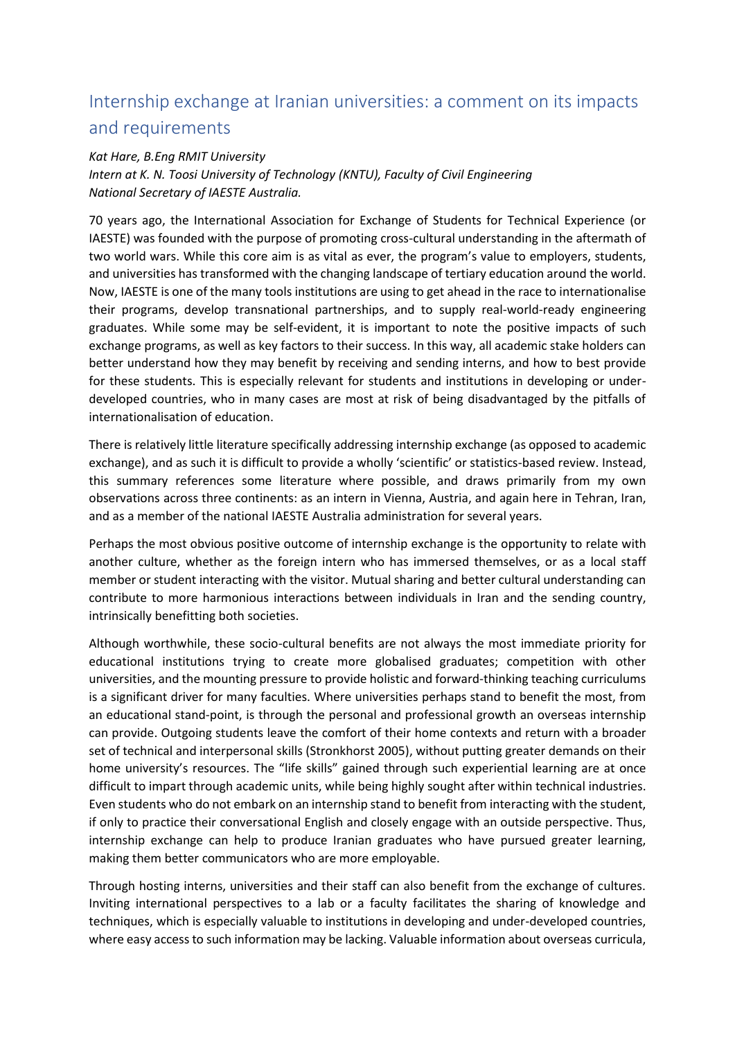## Internship exchange at Iranian universities: a comment on its impacts and requirements

## *Kat Hare, B.Eng RMIT University*

*Intern at K. N. Toosi University of Technology (KNTU), Faculty of Civil Engineering National Secretary of IAESTE Australia.*

70 years ago, the International Association for Exchange of Students for Technical Experience (or IAESTE) was founded with the purpose of promoting cross-cultural understanding in the aftermath of two world wars. While this core aim is as vital as ever, the program's value to employers, students, and universities has transformed with the changing landscape of tertiary education around the world. Now, IAESTE is one of the many tools institutions are using to get ahead in the race to internationalise their programs, develop transnational partnerships, and to supply real-world-ready engineering graduates. While some may be self-evident, it is important to note the positive impacts of such exchange programs, as well as key factors to their success. In this way, all academic stake holders can better understand how they may benefit by receiving and sending interns, and how to best provide for these students. This is especially relevant for students and institutions in developing or underdeveloped countries, who in many cases are most at risk of being disadvantaged by the pitfalls of internationalisation of education.

There is relatively little literature specifically addressing internship exchange (as opposed to academic exchange), and as such it is difficult to provide a wholly 'scientific' or statistics-based review. Instead, this summary references some literature where possible, and draws primarily from my own observations across three continents: as an intern in Vienna, Austria, and again here in Tehran, Iran, and as a member of the national IAESTE Australia administration for several years.

Perhaps the most obvious positive outcome of internship exchange is the opportunity to relate with another culture, whether as the foreign intern who has immersed themselves, or as a local staff member or student interacting with the visitor. Mutual sharing and better cultural understanding can contribute to more harmonious interactions between individuals in Iran and the sending country, intrinsically benefitting both societies.

Although worthwhile, these socio-cultural benefits are not always the most immediate priority for educational institutions trying to create more globalised graduates; competition with other universities, and the mounting pressure to provide holistic and forward-thinking teaching curriculums is a significant driver for many faculties. Where universities perhaps stand to benefit the most, from an educational stand-point, is through the personal and professional growth an overseas internship can provide. Outgoing students leave the comfort of their home contexts and return with a broader set of technical and interpersonal skills (Stronkhorst 2005), without putting greater demands on their home university's resources. The "life skills" gained through such experiential learning are at once difficult to impart through academic units, while being highly sought after within technical industries. Even students who do not embark on an internship stand to benefit from interacting with the student, if only to practice their conversational English and closely engage with an outside perspective. Thus, internship exchange can help to produce Iranian graduates who have pursued greater learning, making them better communicators who are more employable.

Through hosting interns, universities and their staff can also benefit from the exchange of cultures. Inviting international perspectives to a lab or a faculty facilitates the sharing of knowledge and techniques, which is especially valuable to institutions in developing and under-developed countries, where easy access to such information may be lacking. Valuable information about overseas curricula,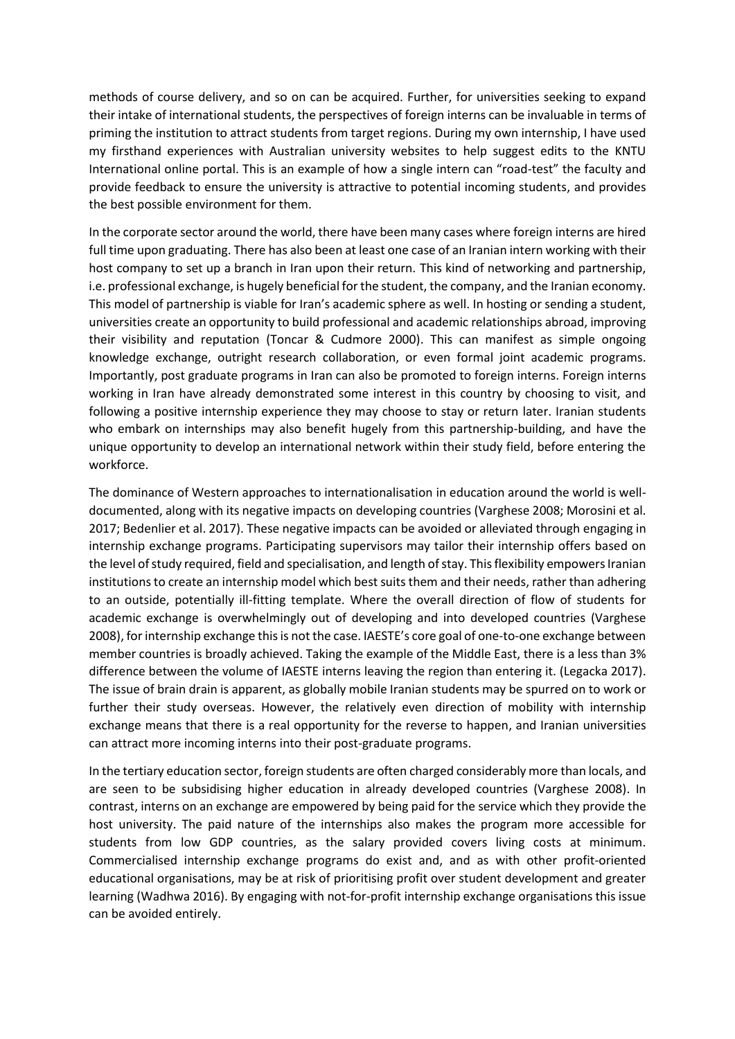methods of course delivery, and so on can be acquired. Further, for universities seeking to expand their intake of international students, the perspectives of foreign interns can be invaluable in terms of priming the institution to attract students from target regions. During my own internship, I have used my firsthand experiences with Australian university websites to help suggest edits to the KNTU International online portal. This is an example of how a single intern can "road-test" the faculty and provide feedback to ensure the university is attractive to potential incoming students, and provides the best possible environment for them.

In the corporate sector around the world, there have been many cases where foreign interns are hired full time upon graduating. There has also been at least one case of an Iranian intern working with their host company to set up a branch in Iran upon their return. This kind of networking and partnership, i.e. professional exchange, is hugely beneficial for the student, the company, and the Iranian economy. This model of partnership is viable for Iran's academic sphere as well. In hosting or sending a student, universities create an opportunity to build professional and academic relationships abroad, improving their visibility and reputation (Toncar & Cudmore 2000). This can manifest as simple ongoing knowledge exchange, outright research collaboration, or even formal joint academic programs. Importantly, post graduate programs in Iran can also be promoted to foreign interns. Foreign interns working in Iran have already demonstrated some interest in this country by choosing to visit, and following a positive internship experience they may choose to stay or return later. Iranian students who embark on internships may also benefit hugely from this partnership-building, and have the unique opportunity to develop an international network within their study field, before entering the workforce.

The dominance of Western approaches to internationalisation in education around the world is welldocumented, along with its negative impacts on developing countries (Varghese 2008; Morosini et al. 2017; Bedenlier et al. 2017). These negative impacts can be avoided or alleviated through engaging in internship exchange programs. Participating supervisors may tailor their internship offers based on the level of study required, field and specialisation, and length of stay. This flexibility empowers Iranian institutions to create an internship model which best suits them and their needs, rather than adhering to an outside, potentially ill-fitting template. Where the overall direction of flow of students for academic exchange is overwhelmingly out of developing and into developed countries (Varghese 2008), for internship exchange this is not the case. IAESTE's core goal of one-to-one exchange between member countries is broadly achieved. Taking the example of the Middle East, there is a less than 3% difference between the volume of IAESTE interns leaving the region than entering it. (Legacka 2017). The issue of brain drain is apparent, as globally mobile Iranian students may be spurred on to work or further their study overseas. However, the relatively even direction of mobility with internship exchange means that there is a real opportunity for the reverse to happen, and Iranian universities can attract more incoming interns into their post-graduate programs.

In the tertiary education sector, foreign students are often charged considerably more than locals, and are seen to be subsidising higher education in already developed countries (Varghese 2008). In contrast, interns on an exchange are empowered by being paid for the service which they provide the host university. The paid nature of the internships also makes the program more accessible for students from low GDP countries, as the salary provided covers living costs at minimum. Commercialised internship exchange programs do exist and, and as with other profit-oriented educational organisations, may be at risk of prioritising profit over student development and greater learning (Wadhwa 2016). By engaging with not-for-profit internship exchange organisations this issue can be avoided entirely.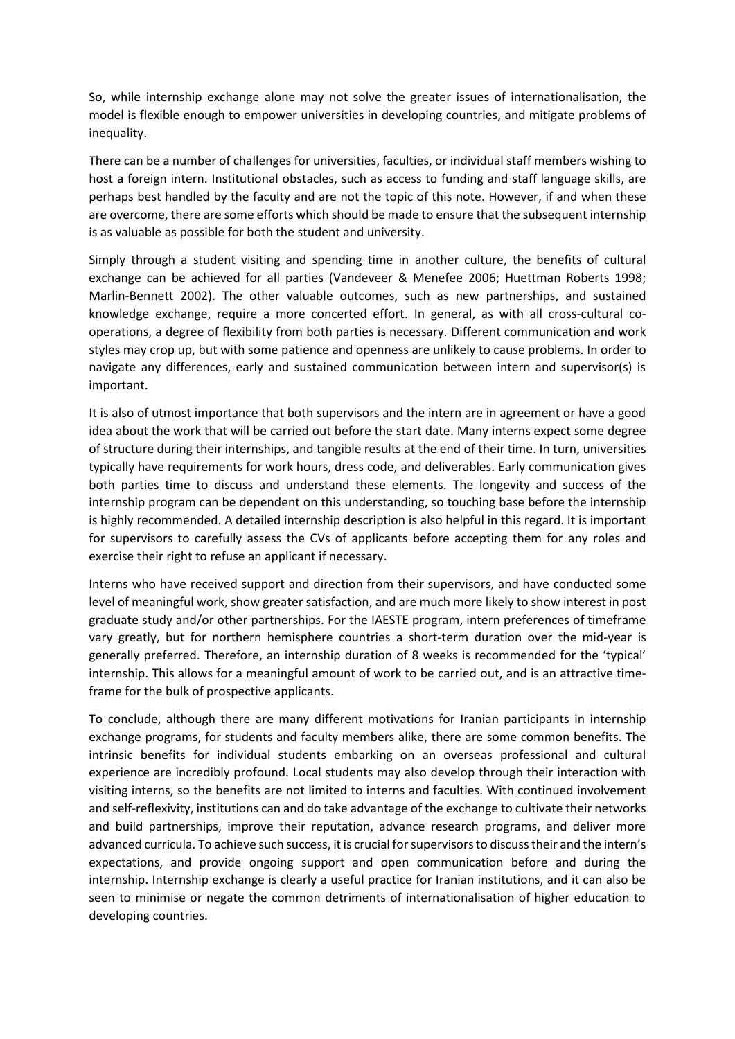So, while internship exchange alone may not solve the greater issues of internationalisation, the model is flexible enough to empower universities in developing countries, and mitigate problems of inequality.

There can be a number of challenges for universities, faculties, or individual staff members wishing to host a foreign intern. Institutional obstacles, such as access to funding and staff language skills, are perhaps best handled by the faculty and are not the topic of this note. However, if and when these are overcome, there are some efforts which should be made to ensure that the subsequent internship is as valuable as possible for both the student and university.

Simply through a student visiting and spending time in another culture, the benefits of cultural exchange can be achieved for all parties (Vandeveer & Menefee 2006; Huettman Roberts 1998; Marlin-Bennett 2002). The other valuable outcomes, such as new partnerships, and sustained knowledge exchange, require a more concerted effort. In general, as with all cross-cultural cooperations, a degree of flexibility from both parties is necessary. Different communication and work styles may crop up, but with some patience and openness are unlikely to cause problems. In order to navigate any differences, early and sustained communication between intern and supervisor(s) is important.

It is also of utmost importance that both supervisors and the intern are in agreement or have a good idea about the work that will be carried out before the start date. Many interns expect some degree of structure during their internships, and tangible results at the end of their time. In turn, universities typically have requirements for work hours, dress code, and deliverables. Early communication gives both parties time to discuss and understand these elements. The longevity and success of the internship program can be dependent on this understanding, so touching base before the internship is highly recommended. A detailed internship description is also helpful in this regard. It is important for supervisors to carefully assess the CVs of applicants before accepting them for any roles and exercise their right to refuse an applicant if necessary.

Interns who have received support and direction from their supervisors, and have conducted some level of meaningful work, show greater satisfaction, and are much more likely to show interest in post graduate study and/or other partnerships. For the IAESTE program, intern preferences of timeframe vary greatly, but for northern hemisphere countries a short-term duration over the mid-year is generally preferred. Therefore, an internship duration of 8 weeks is recommended for the 'typical' internship. This allows for a meaningful amount of work to be carried out, and is an attractive timeframe for the bulk of prospective applicants.

To conclude, although there are many different motivations for Iranian participants in internship exchange programs, for students and faculty members alike, there are some common benefits. The intrinsic benefits for individual students embarking on an overseas professional and cultural experience are incredibly profound. Local students may also develop through their interaction with visiting interns, so the benefits are not limited to interns and faculties. With continued involvement and self-reflexivity, institutions can and do take advantage of the exchange to cultivate their networks and build partnerships, improve their reputation, advance research programs, and deliver more advanced curricula. To achieve such success, it is crucial for supervisors to discuss their and the intern's expectations, and provide ongoing support and open communication before and during the internship. Internship exchange is clearly a useful practice for Iranian institutions, and it can also be seen to minimise or negate the common detriments of internationalisation of higher education to developing countries.